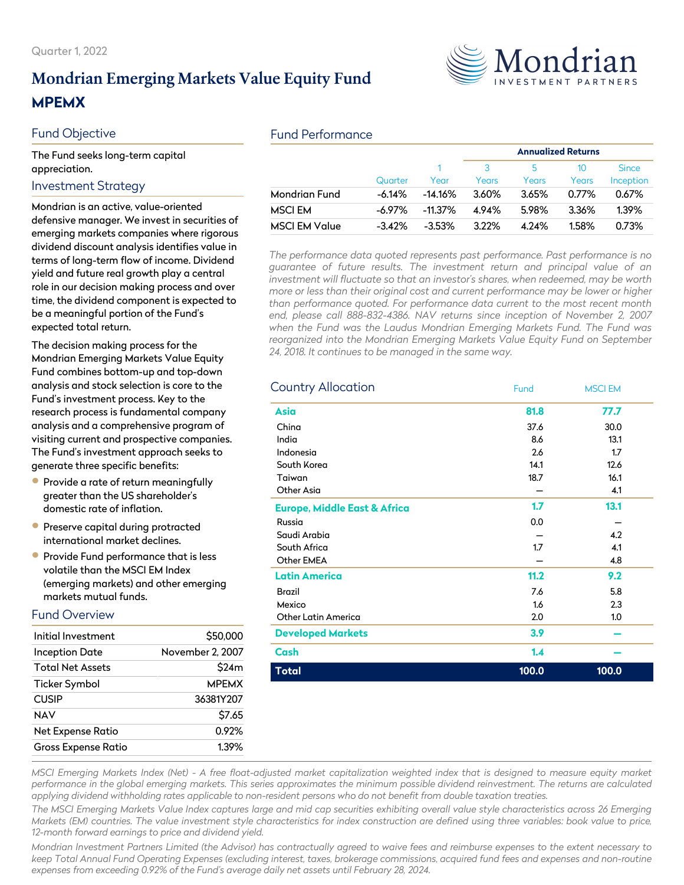# **Mondrian Emerging Markets Value Equity Fund MPEMX**

#### Fund Objective

The Fund seeks long-term capital appreciation.

#### Investment Strategy

Mondrian is an active, value-oriented defensive manager. We invest in securities of emerging markets companies where rigorous dividend discount analysis identifies value in terms of long-term flow of income. Dividend yield and future real growth play a central role in our decision making process and over time, the dividend component is expected to be a meaningful portion of the Fund's expected total return.

The decision making process for the Mondrian Emerging Markets Value Equity Fund combines bottom-up and top-down analysis and stock selection is core to the Fund's investment process. Key to the research process is fundamental company analysis and a comprehensive program of visiting current and prospective companies. The Fund's investment approach seeks to generate three specific benefits:

- **•** Provide a rate of return meaningfully greater than the US shareholder's domestic rate of inflation.
- **Preserve capital during protracted** international market declines.
- Provide Fund performance that is less volatile than the MSCI EM Index (emerging markets) and other emerging markets mutual funds.

#### Fund Overview

| Initial Investment         | \$50,000         |
|----------------------------|------------------|
| <b>Inception Date</b>      | November 2, 2007 |
| <b>Total Net Assets</b>    | \$24m            |
| <b>Ticker Symbol</b>       | <b>MPEMX</b>     |
| <b>CUSIP</b>               | 36381Y207        |
| NAV                        | \$7.65           |
| <b>Net Expense Ratio</b>   | 0.92%            |
| <b>Gross Expense Ratio</b> | 1.39%            |

#### Fund Performance

|                      |          |            | <b>Annualized Returns</b> |            |             |                           |
|----------------------|----------|------------|---------------------------|------------|-------------|---------------------------|
|                      | Quarter  | Year       | Years                     | 5<br>Years | 10<br>Years | <b>Since</b><br>Inception |
| <b>Mondrian Fund</b> | -6.14%   | $-14.16\%$ | 3.60%                     | 3.65%      | 0.77%       | 0.67%                     |
| <b>MSCI EM</b>       | -6.97%   | $-11.37\%$ | 4.94%                     | 5.98%      | 3.36%       | 1.39%                     |
| <b>MSCI EM Value</b> | $-3.42%$ | $-3.53\%$  | 3.22%                     | 4.24%      | 1.58%       | 0.73%                     |

*The performance data quoted represents past performance. Past performance is no guarantee of future results. The investment return and principal value of an investment will fluctuate so that an investor's shares, when redeemed, may be worth more or less than their original cost and current performance may be lower or higher than performance quoted. For performance data current to the most recent month end, please call 888-832-4386. NAV returns since inception of November 2, 2007 when the Fund was the Laudus Mondrian Emerging Markets Fund. The Fund was reorganized into the Mondrian Emerging Markets Value Equity Fund on September 24, 2018. It continues to be managed in the same way.*

| <b>Country Allocation</b>               | Fund  | <b>MSCI EM</b> |
|-----------------------------------------|-------|----------------|
| <b>Asia</b>                             | 81.8  | 77.7           |
| China                                   | 37.6  | 30.0           |
| India                                   | 8.6   | 13.1           |
| Indonesia                               | 2.6   | 1.7            |
| South Korea                             | 14.1  | 12.6           |
| Taiwan                                  | 18.7  | 16.1           |
| Other Asia                              |       | 4.1            |
| <b>Europe, Middle East &amp; Africa</b> | 1.7   | 13.1           |
| Russia                                  | 0.0   |                |
| Saudi Arabia                            |       | 4.2            |
| South Africa                            | 1.7   | 4.1            |
| Other EMEA                              |       | 4.8            |
| <b>Latin America</b>                    | 11.2  | 9.2            |
| <b>Brazil</b>                           | 7.6   | 5.8            |
| Mexico                                  | 1.6   | 2.3            |
| <b>Other Latin America</b>              | 2.0   | 1.0            |
| <b>Developed Markets</b>                | 3.9   |                |
| Cash                                    | 1.4   |                |
| <b>Total</b>                            | 100.0 | 100.0          |

*MSCI Emerging Markets Index (Net) - A free float-adjusted market capitalization weighted index that is designed to measure equity market performance in the global emerging markets. This series approximates the minimum possible dividend reinvestment. The returns are calculated applying dividend withholding rates applicable to non-resident persons who do not benefit from double taxation treaties.*

*The MSCI Emerging Markets Value Index captures large and mid cap securities exhibiting overall value style characteristics across 26 Emerging Markets (EM) countries. The value investment style characteristics for index construction are defined using three variables: book value to price, 12-month forward earnings to price and dividend yield.*

*Mondrian Investment Partners Limited (the Advisor) has contractually agreed to waive fees and reimburse expenses to the extent necessary to keep Total Annual Fund Operating Expenses (excluding interest, taxes, brokerage commissions, acquired fund fees and expenses and non-routine expenses from exceeding 0.92% of the Fund's average daily net assets until February 28, 2024.*

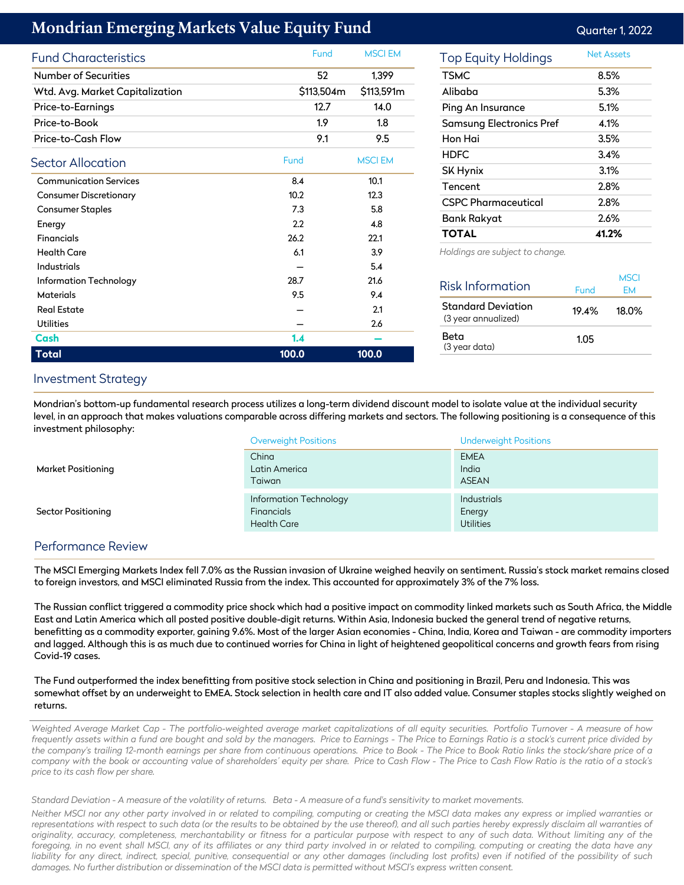## **Mondrian Emerging Markets Value Equity Fund** Contact Contact Contact Contact Contact Contact Contact Contact Conta

| <b>Fund Characteristics</b>     |       | Fund       | <b>MSCI EM</b> |
|---------------------------------|-------|------------|----------------|
| <b>Number of Securities</b>     |       | 52         | 1,399          |
| Wtd. Avg. Market Capitalization |       | \$113,504m | \$113,591m     |
| Price-to-Earnings               |       | 12.7       | 14.0           |
| Price-to-Book                   |       | 1.9        | 1.8            |
| Price-to-Cash Flow              |       | 9.1        | 9.5            |
| Sector Allocation               | Fund  |            | <b>MSCI EM</b> |
| <b>Communication Services</b>   | 8.4   |            | 10.1           |
| <b>Consumer Discretionary</b>   | 10.2  |            | 12.3           |
| <b>Consumer Staples</b>         | 7.3   |            | 5.8            |
| Energy                          | 2.2   |            | 4.8            |
| <b>Financials</b>               | 26.2  |            | 22.1           |
| <b>Health Care</b>              | 6.1   |            | 3.9            |
| Industrials                     |       |            | 5.4            |
| Information Technology          | 28.7  |            | 21.6           |
| Materials                       | 9.5   |            | 9.4            |
| <b>Real Estate</b>              |       |            | 2.1            |
| <b>Utilities</b>                |       |            | 2.6            |
| Cash                            | 1.4   |            |                |
| <b>Total</b>                    | 100.0 |            | 100.0          |

| Top Equity Holdings             | Net Assets |
|---------------------------------|------------|
| <b>TSMC</b>                     | 8.5%       |
| Alibaba                         | 5.3%       |
| Ping An Insurance               | 5.1%       |
| <b>Samsung Electronics Pref</b> | 4.1%       |
| Hon Hai                         | 3.5%       |
| <b>HDFC</b>                     | 3.4%       |
| SK Hynix                        | 3.1%       |
| Tencent                         | 2.8%       |
| <b>CSPC Pharmaceutical</b>      | 2.8%       |
| Bank Rakyat                     | 2.6%       |
| <b>TOTAL</b>                    | 41.2%      |

*Holdings are subject to change.*

| Risk Information                                 | Fund  | MSCI<br>FМ |
|--------------------------------------------------|-------|------------|
| <b>Standard Deviation</b><br>(3 year annualized) | 19.4% | 18.0%      |
| Beta<br>(3 year data)                            | 1.05  |            |
|                                                  |       |            |

#### Investment Strategy

Mondrian's bottom-up fundamental research process utilizes a long-term dividend discount model to isolate value at the individual security level, in an approach that makes valuations comparable across differing markets and sectors. The following positioning is a consequence of this investment philosophy:

|                           | <b>Overweight Positions</b> | <b>Underweight Positions</b> |
|---------------------------|-----------------------------|------------------------------|
|                           | China                       | <b>EMEA</b>                  |
| <b>Market Positioning</b> | Latin America               | India                        |
|                           | Taiwan                      | <b>ASEAN</b>                 |
|                           | Information Technology      | Industrials                  |
| <b>Sector Positioning</b> | Financials                  | Energy                       |
|                           | <b>Health Care</b>          | <b>Utilities</b>             |

#### Performance Review

The MSCI Emerging Markets Index fell 7.0% as the Russian invasion of Ukraine weighed heavily on sentiment. Russia's stock market remains closed to foreign investors, and MSCI eliminated Russia from the index. This accounted for approximately 3% of the 7% loss.

The Russian conflict triggered a commodity price shock which had a positive impact on commodity linked markets such as South Africa, the Middle East and Latin America which all posted positive double-digit returns. Within Asia, Indonesia bucked the general trend of negative returns, benefitting as a commodity exporter, gaining 9.6%. Most of the larger Asian economies - China, India, Korea and Taiwan - are commodity importers and lagged. Although this is as much due to continued worries for China in light of heightened geopolitical concerns and growth fears from rising Covid-19 cases.

The Fund outperformed the index benefitting from positive stock selection in China and positioning in Brazil, Peru and Indonesia. This was somewhat offset by an underweight to EMEA. Stock selection in health care and IT also added value. Consumer staples stocks slightly weighed on returns.

*Weighted Average Market Cap - The portfolio-weighted average market capitalizations of all equity securities. Portfolio Turnover - A measure of how frequently assets within a fund are bought and sold by the managers. Price to Earnings - The Price to Earnings Ratio is a stock's current price divided by the company's trailing 12-month earnings per share from continuous operations. Price to Book - The Price to Book Ratio links the stock/share price of a company with the book or accounting value of shareholders' equity per share. Price to Cash Flow - The Price to Cash Flow Ratio is the ratio of a stock's price to its cash flow per share.*

*Standard Deviation - A measure of the volatility of returns. Beta - A measure of a fund's sensitivity to market movements.*

*Neither MSCI nor any other party involved in or related to compiling, computing or creating the MSCI data makes any express or implied warranties or representations with respect to such data (or the results to be obtained by the use thereof), and all such parties hereby expressly disclaim all warranties of originality, accuracy, completeness, merchantability or fitness for a particular purpose with respect to any of such data. Without limiting any of the foregoing, in no event shall MSCI, any of its affiliates or any third party involved in or related to compiling, computing or creating the data have any liability for any direct, indirect, special, punitive, consequential or any other damages (including lost profits) even if notified of the possibility of such damages. No further distribution or dissemination of the MSCI data is permitted without MSCI's express written consent.*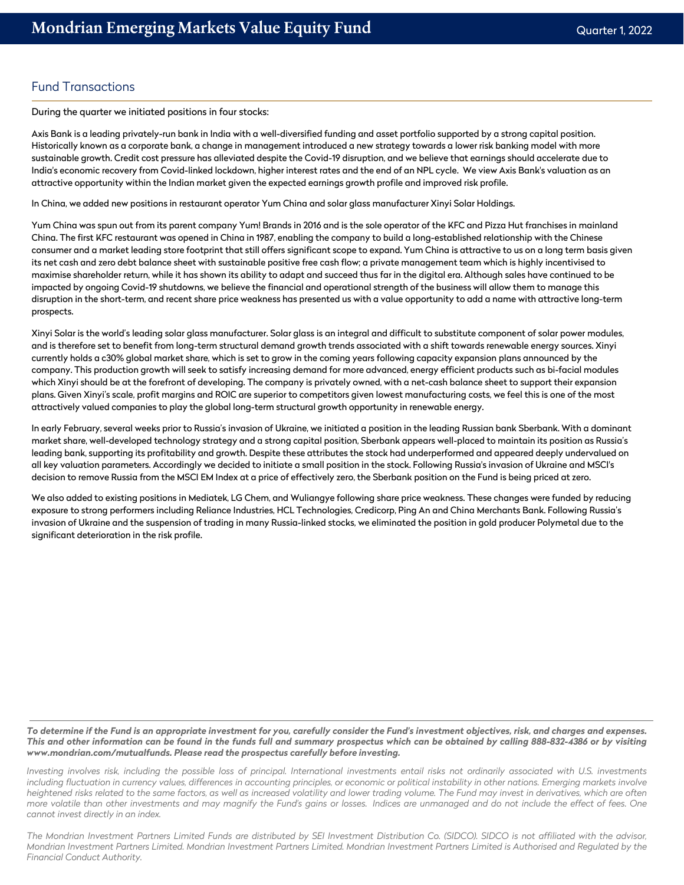#### Fund Transactions

During the quarter we initiated positions in four stocks:

Axis Bank is a leading privately-run bank in India with a well-diversified funding and asset portfolio supported by a strong capital position. Historically known as a corporate bank, a change in management introduced a new strategy towards a lower risk banking model with more sustainable growth. Credit cost pressure has alleviated despite the Covid-19 disruption, and we believe that earnings should accelerate due to India's economic recovery from Covid-linked lockdown, higher interest rates and the end of an NPL cycle. We view Axis Bank's valuation as an attractive opportunity within the Indian market given the expected earnings growth profile and improved risk profile.

In China, we added new positions in restaurant operator Yum China and solar glass manufacturer Xinyi Solar Holdings.

Yum China was spun out from its parent company Yum! Brands in 2016 and is the sole operator of the KFC and Pizza Hut franchises in mainland China. The first KFC restaurant was opened in China in 1987, enabling the company to build a long-established relationship with the Chinese consumer and a market leading store footprint that still offers significant scope to expand. Yum China is attractive to us on a long term basis given its net cash and zero debt balance sheet with sustainable positive free cash flow; a private management team which is highly incentivised to maximise shareholder return, while it has shown its ability to adapt and succeed thus far in the digital era. Although sales have continued to be impacted by ongoing Covid-19 shutdowns, we believe the financial and operational strength of the business will allow them to manage this disruption in the short-term, and recent share price weakness has presented us with a value opportunity to add a name with attractive long-term prospects.

Xinyi Solar is the world's leading solar glass manufacturer. Solar glass is an integral and difficult to substitute component of solar power modules, and is therefore set to benefit from long-term structural demand growth trends associated with a shift towards renewable energy sources. Xinyi currently holds a c30% global market share, which is set to grow in the coming years following capacity expansion plans announced by the company. This production growth will seek to satisfy increasing demand for more advanced, energy efficient products such as bi-facial modules which Xinyi should be at the forefront of developing. The company is privately owned, with a net-cash balance sheet to support their expansion plans. Given Xinyi's scale, profit margins and ROIC are superior to competitors given lowest manufacturing costs, we feel this is one of the most attractively valued companies to play the global long-term structural growth opportunity in renewable energy.

In early February, several weeks prior to Russia's invasion of Ukraine, we initiated a position in the leading Russian bank Sberbank. With a dominant market share, well-developed technology strategy and a strong capital position, Sberbank appears well-placed to maintain its position as Russia's leading bank, supporting its profitability and growth. Despite these attributes the stock had underperformed and appeared deeply undervalued on all key valuation parameters. Accordingly we decided to initiate a small position in the stock. Following Russia's invasion of Ukraine and MSCI's decision to remove Russia from the MSCI EM Index at a price of effectively zero, the Sberbank position on the Fund is being priced at zero.

We also added to existing positions in Mediatek, LG Chem, and Wuliangye following share price weakness. These changes were funded by reducing exposure to strong performers including Reliance Industries, HCL Technologies, Credicorp, Ping An and China Merchants Bank. Following Russia's invasion of Ukraine and the suspension of trading in many Russia-linked stocks, we eliminated the position in gold producer Polymetal due to the significant deterioration in the risk profile.

*To determine if the Fund is an appropriate investment for you, carefully consider the Fund's investment objectives, risk, and charges and expenses. This and other information can be found in the funds full and summary prospectus which can be obtained by calling 888-832-4386 or by visiting www.mondrian.com/mutualfunds. Please read the prospectus carefully before investing.*

*Investing involves risk, including the possible loss of principal. International investments entail risks not ordinarily associated with U.S. investments including fluctuation in currency values, differences in accounting principles, or economic or political instability in other nations. Emerging markets involve heightened risks related to the same factors, as well as increased volatility and lower trading volume. The Fund may invest in derivatives, which are often more volatile than other investments and may magnify the Fund's gains or losses. Indices are unmanaged and do not include the effect of fees. One cannot invest directly in an index.*

*The Mondrian Investment Partners Limited Funds are distributed by SEI Investment Distribution Co. (SIDCO). SIDCO is not affiliated with the advisor, Mondrian Investment Partners Limited. Mondrian Investment Partners Limited. Mondrian Investment Partners Limited is Authorised and Regulated by the Financial Conduct Authority.*